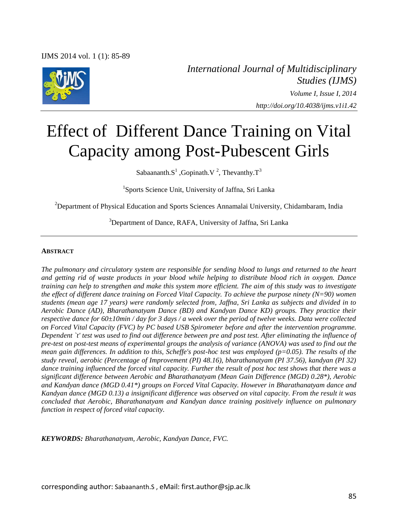

*International Journal of Multidisciplinary Studies (IJMS) Volume I, Issue I, 2014 http://doi.org/10.4038/ijms.v1i1.42*

# Effect of Different Dance Training on Vital Capacity among Post-Pubescent Girls

Sabaananth.S<sup>1</sup>, Gopinath.V<sup>2</sup>, Thevanthy.T<sup>3</sup>

1 Sports Science Unit, University of Jaffna, Sri Lanka

<sup>2</sup>Department of Physical Education and Sports Sciences Annamalai University, Chidambaram, India

<sup>3</sup>Department of Dance, RAFA, University of Jaffna, Sri Lanka

#### **ABSTRACT**

*The pulmonary and circulatory system are responsible for sending blood to lungs and returned to the heart and getting rid of waste products in your blood while helping to distribute blood rich in oxygen. Dance training can help to strengthen and make this system more efficient. The aim of this study was to investigate the effect of different dance training on Forced Vital Capacity. To achieve the purpose ninety (N=90) women students (mean age 17 years) were randomly selected from, Jaffna, Sri Lanka as subjects and divided in to Aerobic Dance (AD), Bharathanatyam Dance (BD) and Kandyan Dance KD) groups. They practice their respective dance for 60±10min / day for 3 days / a week over the period of twelve weeks. Data were collected on Forced Vital Capacity (FVC) by PC based USB Spirometer before and after the intervention programme. Dependent `t' test was used to find out difference between pre and post test. After eliminating the influence of pre-test on post-test means of experimental groups the analysis of variance (ANOVA) was used to find out the mean gain differences. In addition to this, Scheffe's post-hoc test was employed (p=0.05). The results of the study reveal, aerobic (Percentage of Improvement (PI) 48.16), bharathanatyam (PI 37.56), kandyan (PI 32) dance training influenced the forced vital capacity. Further the result of post hoc test shows that there was a significant difference between Aerobic and Bharathanatyam (Mean Gain Difference (MGD) 0.28\*), Aerobic and Kandyan dance (MGD 0.41\*) groups on Forced Vital Capacity. However in Bharathanatyam dance and Kandyan dance (MGD 0.13) a insignificant difference was observed on vital capacity. From the result it was concluded that Aerobic, Bharathanatyam and Kandyan dance training positively influence on pulmonary function in respect of forced vital capacity.* 

*KEYWORDS: Bharathanatyam, Aerobic, Kandyan Dance, FVC.* 

corresponding author: Sabaananth.S , eMail: first.author@sjp.ac.lk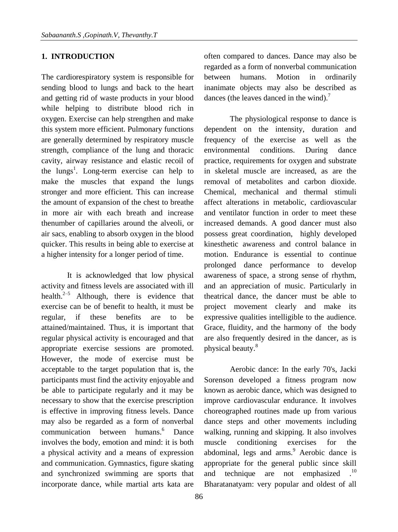## **1. INTRODUCTION**

The cardiorespiratory system is responsible for sending blood to lungs and back to the heart and getting rid of waste products in your blood while helping to distribute blood rich in oxygen. Exercise can help strengthen and make this system more efficient. Pulmonary functions are generally determined by respiratory muscle strength, compliance of the lung and thoracic cavity, airway resistance and elastic recoil of the lungs<sup>1</sup>. Long-term exercise can help to make the muscles that expand the lungs stronger and more efficient. This can increase the amount of expansion of the chest to breathe in more air with each breath and increase thenumber of capillaries around the alveoli, or air sacs, enabling to absorb oxygen in the blood quicker. This results in being able to exercise at a higher intensity for a longer period of time.

It is acknowledged that low physical activity and fitness levels are associated with ill health. $2-5$  Although, there is evidence that exercise can be of benefit to health, it must be regular, if these benefits are to be attained/maintained. Thus, it is important that regular physical activity is encouraged and that appropriate exercise sessions are promoted. However, the mode of exercise must be acceptable to the target population that is, the participants must find the activity enjoyable and be able to participate regularly and it may be necessary to show that the exercise prescription is effective in improving fitness levels. Dance may also be regarded as a form of nonverbal communication between humans.<sup>6</sup> Dance involves the body, emotion and mind: it is both a physical activity and a means of expression and communication. Gymnastics, figure skating and synchronized swimming are sports that incorporate dance, while martial arts kata are

often compared to dances. Dance may also be regarded as a form of nonverbal communication between humans. Motion in ordinarily inanimate objects may also be described as dances (the leaves danced in the wind).<sup>7</sup>

The physiological response to dance is dependent on the intensity, duration and frequency of the exercise as well as the environmental conditions. During dance practice, requirements for oxygen and substrate in skeletal muscle are increased, as are the removal of metabolites and carbon dioxide. Chemical, mechanical and thermal stimuli affect alterations in metabolic, cardiovascular and ventilator function in order to meet thes[e](http://oqosuqe.pev.pl/metabolic-demands-fast-twitch.php) [increased demands.](http://oqosuqe.pev.pl/metabolic-demands-fast-twitch.php) [A good dancer must also](http://oqosuqe.pev.pl/metabolic-demands-fast-twitch.php)  possess great coordination, highly developed kinesthetic awareness and control balance in motion. Endurance is essential to continue prolonged dance performance to develop awareness of space, a strong sense of rhythm, and an appreciation of music. Particularly in theatrical dance, the dancer must be able to project movement clearly and make its expressive qualities intelligible to the audience. Grace, fluidity, and the harmony of the body are also frequently desired in the dancer, as is physical beauty.<sup>8</sup>

Aerobic dance: In the early 70's, Jacki Sorenson developed a fitness program now known as aerobic dance, which was designed to improve cardiovascular endurance. It involves choreographed routines made up from various dance steps and other movements including walking, running and skipping. It also involves muscle conditioning exercises for the abdominal, legs and arms.<sup>9</sup> Aerobic dance is appropriate for the general public since skill and technique are not emphasized Bharatanatyam: [very popular and oldest of all](http://natyanjali.blogspot.com/2008/08/bharatnatyamthe-first-indian-classical.html)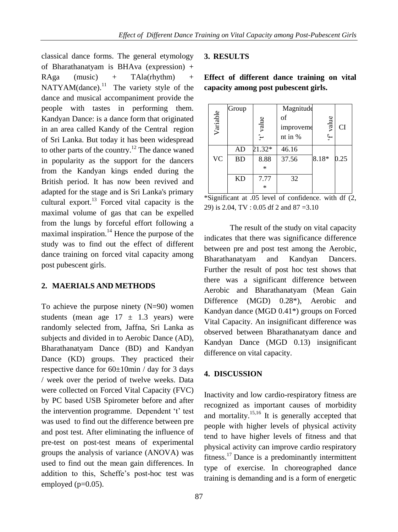classical dance forms. The general etymology of Bharathanatyam is BHAva (expression) + RAga (music) + TAla(rhythm) + NATYAM(dance).<sup>11</sup> The variety style of the dance and musical accompaniment provide the people with tastes in performing them. Kandyan Dance: is a dance form that originated in an area called Kandy of the Central region of Sri Lanka. But today it has been widespread to other parts of the country.<sup>12</sup> The dance waned in popularity as the support for the dancers from the Kandyan kings ended during the British period. It has now been revived and adapted for the stage and is Sri Lanka's primary cultural export. $^{13}$  Forced vital capacity is the maximal volume of gas that can be expelled from the lungs by forceful effort following a maximal inspiration.<sup>14</sup> Hence the purpose of the study was to find out the effect of different dance training on forced vital capacity among post pubescent girls.

## **2. MAERIALS AND METHODS**

To achieve the purpose ninety (N=90) women students (mean age  $17 \pm 1.3$  years) were randomly selected from, Jaffna, Sri Lanka as subjects and divided in to Aerobic Dance (AD), Bharathanatyam Dance (BD) and Kandyan Dance (KD) groups. They practiced their respective dance for 60±10min / day for 3 days / week over the period of twelve weeks. Data were collected on Forced Vital Capacity (FVC) by PC based USB Spirometer before and after the intervention programme. Dependent 't' test was used to find out the difference between pre and post test. After eliminating the influence of pre-test on post-test means of experimental groups the analysis of variance (ANOVA) was used to find out the mean gain differences. In addition to this, Scheffe's post-hoc test was employed  $(p=0.05)$ .

## **3. RESULTS**

**Effect of different dance training on vital capacity among post pubescent girls.**

| Variable  | Group     | t' value | Magnitude<br>of<br>improveme<br>nt in % | value<br>$\cdot f$ | <b>CI</b> |
|-----------|-----------|----------|-----------------------------------------|--------------------|-----------|
|           | AD        | 21.32*   | 46.16                                   |                    |           |
| <b>VC</b> | <b>BD</b> | 8.88     | 37.56                                   | 8.18*              | 0.25      |
|           |           | $\ast$   |                                         |                    |           |
|           | KD        | 7.77     | 32                                      |                    |           |
|           |           | $\ast$   |                                         |                    |           |

\*Significant at .05 level of confidence. with df (2, 29) is 2.04, TV : 0.05 df 2 and 87 =3.10

The result of the study on vital capacity indicates that there was significance difference between pre and post test among the Aerobic, Bharathanatyam and Kandyan Dancers. Further the result of post hoc test shows that there was a significant difference between Aerobic and Bharathanatyam (Mean Gain Difference (MGD) 0.28<sup>\*</sup>), Aerobic and Kandyan dance (MGD 0.41\*) groups on Forced Vital Capacity. An insignificant difference was observed between Bharathanatyam dance and Kandyan Dance (MGD 0.13) insignificant difference on vital capacity.

#### **4. DISCUSSION**

Inactivity and low cardio-respiratory fitness are recognized as important causes of morbidity and mortality.<sup>15,16</sup> It is generally accepted that people with higher levels of physical activity tend to have higher levels of fitness and that physical activity can improve cardio respiratory fitness.<sup>17</sup> Dance is a predominantly intermittent type of exercise. In choreographed dance training is demanding and is a form of energetic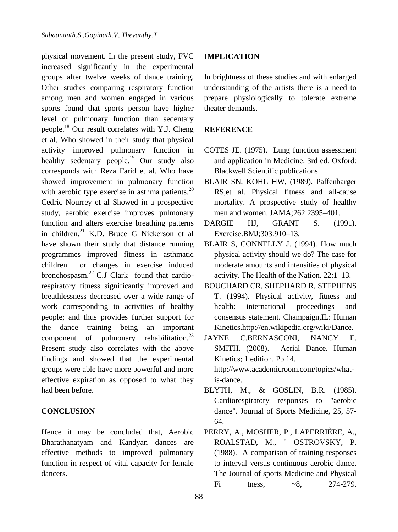physical movement. In the present study, FVC increased significantly in the experimental groups after twelve weeks of dance training. Other studies comparing respiratory function among men and women engaged in various sports found that sports person have higher level of pulmonary function than sedentary people.<sup>18</sup> Our result correlates with Y.J. Cheng et al, Who showed in their study that physica[l](http://wiki.sdstate.edu/@api/deki/files/995/=aerobic_exercise_for_lung_function.pdf) [activity improved pulmonary function in](http://wiki.sdstate.edu/@api/deki/files/995/=aerobic_exercise_for_lung_function.pdf)  [healthy sedentary people.](http://wiki.sdstate.edu/@api/deki/files/995/=aerobic_exercise_for_lung_function.pdf)<sup>19</sup> Our study also corresponds with Reza Farid et al. Who have showed improvement in pulmonary function with aerobic type exercise in asthma patients.<sup>20</sup> Cedric Nourrey et al Showed in a prospective study, aerobic exercise improves pulmonary function and alters exercise breathing patterns in children.<sup>21</sup> K.D. Bruce G Nickerson et al have shown their study that distance running programmes improved fitness in asthmatic children or changes in exercise induced bronchospasm. $^{22}$  C.J Clark found that cardiorespiratory fitness significantly improved and breathlessness decreased over a wide range of work corresponding to activities of healthy people; and thus provides further support for the dance training being an important component of pulmonary rehabilitation. $^{23}$ Present study also correlates with the above findings and showed that the experimental groups were able have more powerful and more effective expiration as opposed to what they had been before.

## **CONCLUSION**

Hence it may be concluded that, Aerobic Bharathanatyam and Kandyan dances are effective methods to improved pulmonary function in respect of vital capacity for female dancers.

# **IMPLICATION**

In brightness of these studies and with enlarged understanding of the artists there is a need to prepare physiologically to tolerate extreme theater demands.

# **REFERENCE**

- COTES JE. (1975). Lung function assessment and application in Medicine. 3rd ed. Oxford: Blackwell Scientific publications.
- BLAIR SN, KOHL HW, (1989). Paffenbarger RS,et al. Physical fitness and all-cause mortality. A prospective study of healthy men and women. JAMA;262:2395–401.
- DARGIE HJ, GRANT S. (1991). Exercise.BMJ;303:910–13.
- BLAIR S, CONNELLY J. (1994). How much physical activity should we do? The case for moderate amounts and intensities of physical activity. The Health of the Nation. 22:1–13.
- BOUCHARD CR, SHEPHARD R, STEPHENS T. (1994). Physical activity, fitness and health: international proceedings and consensus statement. Champaign,IL: Human Kinetics.http://en.wikipedia.org/wiki/Dance.
- JAYNE C.BERNASCONI, NANCY E. SMITH. (2008). Aerial Dance. Human Kinetics; 1 edition. Pp 14. http://www.academicroom.com/topics/whatis-dance.
- BLYTH, M., & GOSLIN, B.R. (1985). Cardiorespiratory responses to "aerobic dance". Journal of Sports Medicine, 25, 57- 64.
- PERRY, A., MOSHER, P., LAPERRIÈRE, A., ROALSTAD, M., " OSTROVSKY, P. (1988). A comparison of training responses to interval versus continuous aerobic dance. The Journal of sports Medicine and Physical Fi tness,  $\sim 8$ , 274-279.